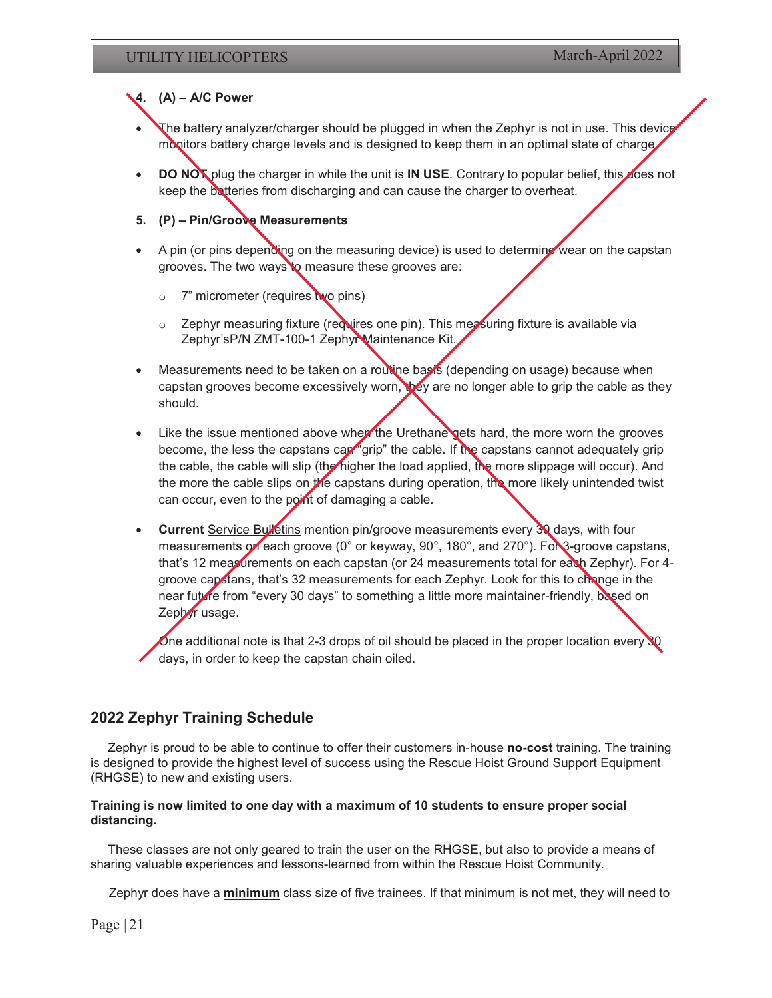### **4. (A) – A/C Power**

- The battery analyzer/charger should be plugged in when the Zephyr is not in use. This device monitors battery charge levels and is designed to keep them in an optimal state of charge.
- **DO NOT** plug the charger in while the unit is **IN USE**. Contrary to popular belief, this does not keep the batteries from discharging and can cause the charger to overheat.
- **5. (P) Pin/Groove Measurements**
- A pin (or pins depending on the measuring device) is used to determine wear on the capstan grooves. The two ways to measure these grooves are:
	- o 7" micrometer (requires two pins)
	- o Zephyr measuring fixture (requires one pin). This measuring fixture is available via Zephyr's P/N ZMT-100-1 Zephyr Maintenance Kit.
- Measurements need to be taken on a routine basis (depending on usage) because when capstan grooves become excessively worn, they are no longer able to grip the cable as they should.
- $\bullet$  Like the issue mentioned above when the Urethane gets hard, the more worn the grooves become, the less the capstans can "grip" the cable. If the capstans cannot adequately grip the cable, the cable will slip (the higher the load applied, the more slippage will occur). And the more the cable slips on the capstans during operation, the more likely unintended twist can occur, even to the point of damaging a cable.
- **Current Service Bulletins mention pin/groove measurements every 30 days, with four** measurements or each groove (0° or keyway, 90°, 180°, and 270°). For 3-groove capstans, that's 12 measurements on each capstan (or 24 measurements total for each Zephyr). For 4groove capstans, that's 32 measurements for each Zephyr. Look for this to change in the near future from "every 30 days" to something a little more maintainer-friendly, based on Zephyr usage.

One additional note is that 2-3 drops of oil should be placed in the proper location every  $\mathbb{S}^0$ days, in order to keep the capstan chain oiled.

## **2022 Zephyr Training Schedule**

Zephyr is proud to be able to continue to offer their customers in-house **no-cost** training. The training is designed to provide the highest level of success using the Rescue Hoist Ground Support Equipment (RHGSE) to new and existing users.

#### **Training is now limited to one day with a maximum of 10 students to ensure proper social distancing.**

These classes are not only geared to train the user on the RHGSE, but also to provide a means of sharing valuable experiences and lessons-learned from within the Rescue Hoist Community.

Zephyr does have a **minimum** class size of five trainees. If that minimum is not met, they will need to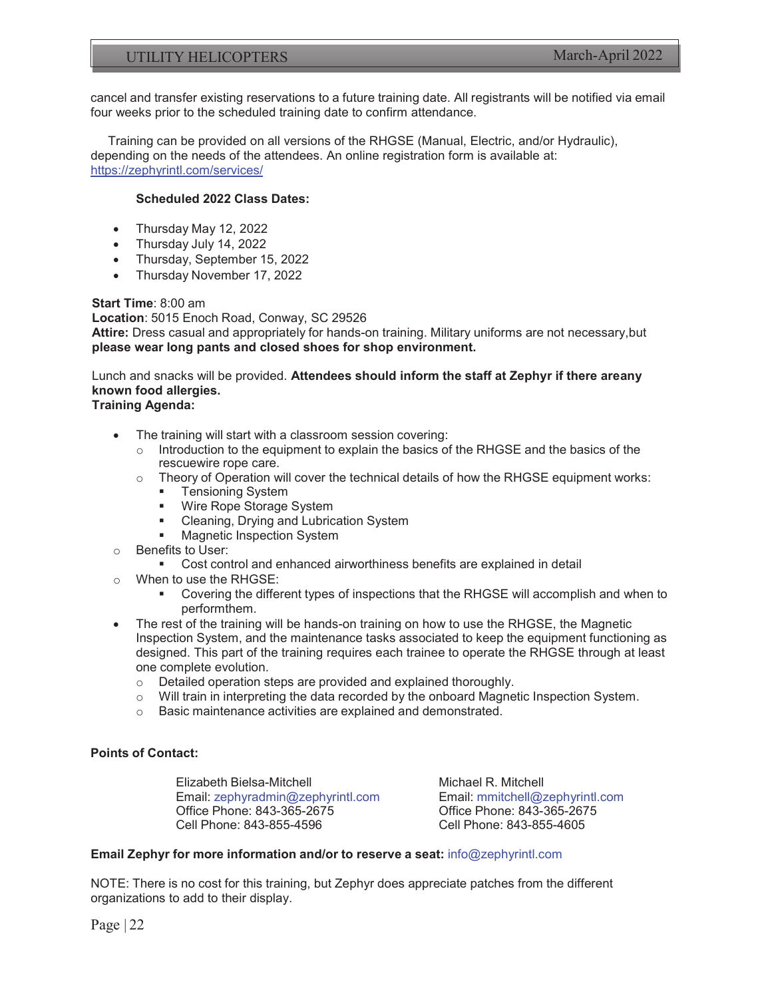## UTILITY HELICOPTERS March-April 2022

cancel and transfer existing reservations to a future training date. All registrants will be notified via email four weeks prior to the scheduled training date to confirm attendance.

Training can be provided on all versions of the RHGSE (Manual, Electric, and/or Hydraulic), depending on the needs of the attendees. An online registration form is available at: https://zephyrintl.com/services/

#### **Scheduled 2022 Class Dates:**

- $\bullet$  Thursday May 12, 2022
- Thursday July 14, 2022
- Thursday, September 15, 2022
- Thursday November 17, 2022

**Start Time**: 8:00 am

**Location**: 5015 Enoch Road, Conway, SC 29526 **Attire:** Dress casual and appropriately for hands-on training. Military uniforms are not necessary, but **please wear long pants and closed shoes for shop environment.** 

# Lunch and snacks will be provided. **Attendees should inform the staff at Zephyr if there are any known food allergies.**

- **Training Agenda:** 
	- The training will start with a classroom session covering:
		- $\circ$  Introduction to the equipment to explain the basics of the RHGSE and the basics of the rescuewire rope care.
		- o Theory of Operation will cover the technical details of how the RHGSE equipment works:
			- **Tensioning System**
			- **Wire Rope Storage System**
			- **EXEC** Cleaning, Drying and Lubrication System
			- **Magnetic Inspection System**
	- o Benefits to User:
		- Cost control and enhanced airworthiness benefits are explained in detail
	- o When to use the RHGSE:
		- Covering the different types of inspections that the RHGSE will accomplish and when to perform them.
	- The rest of the training will be hands-on training on how to use the RHGSE, the Magnetic Inspection System, and the maintenance tasks associated to keep the equipment functioning as designed. This part of the training requires each trainee to operate the RHGSE through at least one complete evolution.
		- o Detailed operation steps are provided and explained thoroughly.
		- $\circ$  Will train in interpreting the data recorded by the onboard Magnetic Inspection System.<br> $\circ$  Basic maintenance activities are explained and demonstrated.
		- Basic maintenance activities are explained and demonstrated.

#### **Points of Contact:**

Elizabeth Bielsa-Mitchell Email: zephyradmin@zephyrintl.com Office Phone: 843-365-2675 Cell Phone: 843-855-4596

Michael R. Mitchell Email: mmitchell@zephyrintl.com Office Phone: 843-365-2675 Cell Phone: 843-855-4605

#### **Email Zephyr for more information and/or to reserve a seat:** info@zephyrintl.com

NOTE: There is no cost for this training, but Zephyr does appreciate patches from the different organizations to add to their display.

Page  $|22$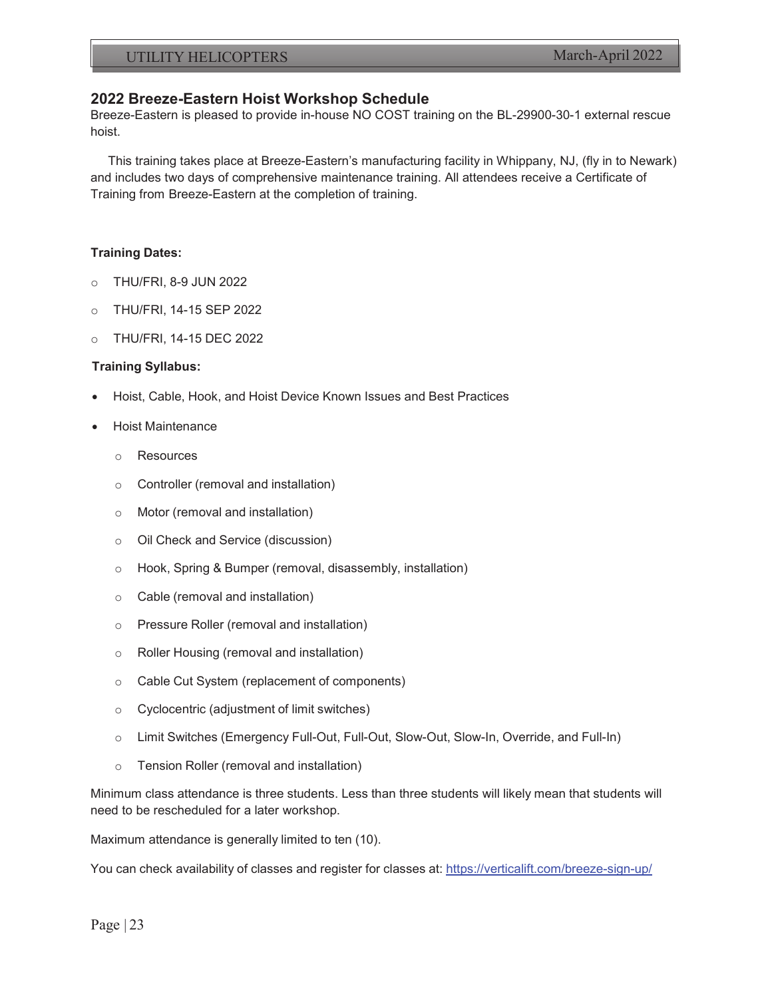# **2022 Breeze-Eastern Hoist Workshop Schedule**

Breeze-Eastern is pleased to provide in-house NO COST training on the BL-29900-30-1 external rescue hoist.

This training takes place at Breeze-Eastern's manufacturing facility in Whippany, NJ, (fly in to Newark) and includes two days of comprehensive maintenance training. All attendees receive a Certificate of Training from Breeze-Eastern at the completion of training.

#### **Training Dates:**

- o THU/FRI, 8-9 JUN 2022
- o THU/FRI, 14-15 SEP 2022
- o THU/FRI, 14-15 DEC 2022

#### **Training Syllabus:**

- x Hoist, Cable, Hook, and Hoist Device Known Issues and Best Practices
- x Hoist Maintenance
	- o Resources
	- o Controller (removal and installation)
	- o Motor (removal and installation)
	- o Oil Check and Service (discussion)
	- o Hook, Spring & Bumper (removal, disassembly, installation)
	- o Cable (removal and installation)
	- o Pressure Roller (removal and installation)
	- o Roller Housing (removal and installation)
	- o Cable Cut System (replacement of components)
	- o Cyclocentric (adjustment of limit switches)
	- o Limit Switches (Emergency Full-Out, Full-Out, Slow-Out, Slow-In, Override, and Full-In)
	- o Tension Roller (removal and installation)

Minimum class attendance is three students. Less than three students will likely mean that students will need to be rescheduled for a later workshop.

Maximum attendance is generally limited to ten (10).

You can check availability of classes and register for classes at: https://verticalift.com/breeze-sign-up/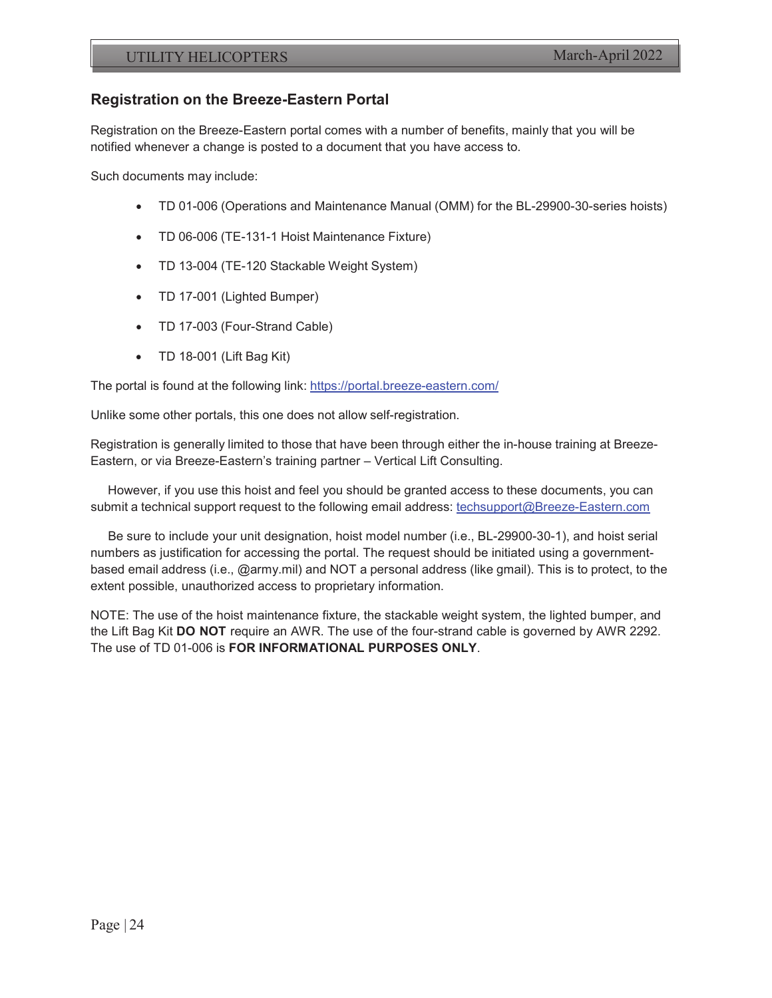# **Registration on the Breeze-Eastern Portal**

Registration on the Breeze-Eastern portal comes with a number of benefits, mainly that you will be notified whenever a change is posted to a document that you have access to.

Such documents may include:

- TD 01-006 (Operations and Maintenance Manual (OMM) for the BL-29900-30-series hoists)
- TD 06-006 (TE-131-1 Hoist Maintenance Fixture)
- TD 13-004 (TE-120 Stackable Weight System)
- TD 17-001 (Lighted Bumper)
- TD 17-003 (Four-Strand Cable)
- $\bullet$  TD 18-001 (Lift Bag Kit)

The portal is found at the following link: https://portal.breeze-eastern.com/

Unlike some other portals, this one does not allow self-registration.

Registration is generally limited to those that have been through either the in-house training at Breeze-Eastern, or via Breeze-Eastern's training partner – Vertical Lift Consulting.

However, if you use this hoist and feel you should be granted access to these documents, you can submit a technical support request to the following email address: techsupport@Breeze-Eastern.com

Be sure to include your unit designation, hoist model number (i.e., BL-29900-30-1), and hoist serial numbers as justification for accessing the portal. The request should be initiated using a governmentbased email address (i.e., @army.mil) and NOT a personal address (like gmail). This is to protect, to the extent possible, unauthorized access to proprietary information.

NOTE: The use of the hoist maintenance fixture, the stackable weight system, the lighted bumper, and the Lift Bag Kit **DO NOT** require an AWR. The use of the four-strand cable is governed by AWR 2292. The use of TD 01-006 is **FOR INFORMATIONAL PURPOSES ONLY**.